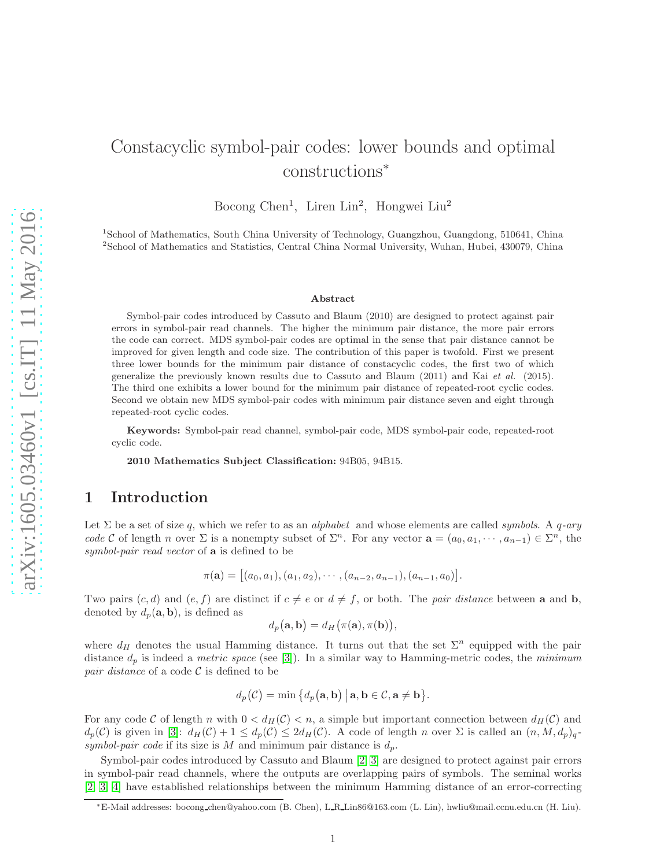# Constacyclic symbol-pair codes: lower bounds and optimal constructions<sup>∗</sup>

Bocong Chen<sup>1</sup>, Liren Lin<sup>2</sup>, Hongwei Liu<sup>2</sup>

<sup>1</sup> School of Mathematics, South China University of Technology, Guangzhou, Guangdong, 510641, China 2 School of Mathematics and Statistics, Central China Normal University, Wuhan, Hubei, 430079, China

#### Abstract

Symbol-pair codes introduced by Cassuto and Blaum (2010) are designed to protect against pair errors in symbol-pair read channels. The higher the minimum pair distance, the more pair errors the code can correct. MDS symbol-pair codes are optimal in the sense that pair distance cannot be improved for given length and code size. The contribution of this paper is twofold. First we present three lower bounds for the minimum pair distance of constacyclic codes, the first two of which generalize the previously known results due to Cassuto and Blaum (2011) and Kai et al. (2015). The third one exhibits a lower bound for the minimum pair distance of repeated-root cyclic codes. Second we obtain new MDS symbol-pair codes with minimum pair distance seven and eight through repeated-root cyclic codes.

Keywords: Symbol-pair read channel, symbol-pair code, MDS symbol-pair code, repeated-root cyclic code.

2010 Mathematics Subject Classification: 94B05, 94B15.

# 1 Introduction

Let  $\Sigma$  be a set of size q, which we refer to as an *alphabet* and whose elements are called *symbols*. A q-ary code C of length n over  $\Sigma$  is a nonempty subset of  $\Sigma<sup>n</sup>$ . For any vector  $\mathbf{a} = (a_0, a_1, \dots, a_{n-1}) \in \Sigma^n$ , the symbol-pair read vector of **a** is defined to be

$$
\pi(\mathbf{a}) = [(a_0, a_1), (a_1, a_2), \cdots, (a_{n-2}, a_{n-1}), (a_{n-1}, a_0)].
$$

Two pairs  $(c, d)$  and  $(e, f)$  are distinct if  $c \neq e$  or  $d \neq f$ , or both. The *pair distance* between a and b, denoted by  $d_p(\mathbf{a}, \mathbf{b})$ , is defined as

$$
d_p(\mathbf{a}, \mathbf{b}) = d_H(\pi(\mathbf{a}), \pi(\mathbf{b})),
$$

where  $d_H$  denotes the usual Hamming distance. It turns out that the set  $\Sigma^n$  equipped with the pair distance  $d_p$  is indeed a *metric space* (see [\[3\]](#page-8-0)). In a similar way to Hamming-metric codes, the *minimum* pair distance of a code  $\mathcal C$  is defined to be

$$
d_p(\mathcal{C}) = \min \big\{ d_p(\mathbf{a}, \mathbf{b}) \bigm| \mathbf{a}, \mathbf{b} \in \mathcal{C}, \mathbf{a} \neq \mathbf{b} \big\}.
$$

For any code C of length n with  $0 < d_H(\mathcal{C}) < n$ , a simple but important connection between  $d_H(\mathcal{C})$  and  $d_p(\mathcal{C})$  is given in [\[3\]](#page-8-0):  $d_H(\mathcal{C}) + 1 \leq d_p(\mathcal{C}) \leq 2d_H(\mathcal{C})$ . A code of length n over  $\Sigma$  is called an  $(n, M, d_p)_q$ . symbol-pair code if its size is M and minimum pair distance is  $d_p$ .

Symbol-pair codes introduced by Cassuto and Blaum [\[2,](#page-8-1) [3\]](#page-8-0) are designed to protect against pair errors in symbol-pair read channels, where the outputs are overlapping pairs of symbols. The seminal works [\[2,](#page-8-1) [3,](#page-8-0) [4\]](#page-8-2) have established relationships between the minimum Hamming distance of an error-correcting

<sup>∗</sup>E-Mail addresses: bocong chen@yahoo.com (B. Chen), L R Lin86@163.com (L. Lin), hwliu@mail.ccnu.edu.cn (H. Liu).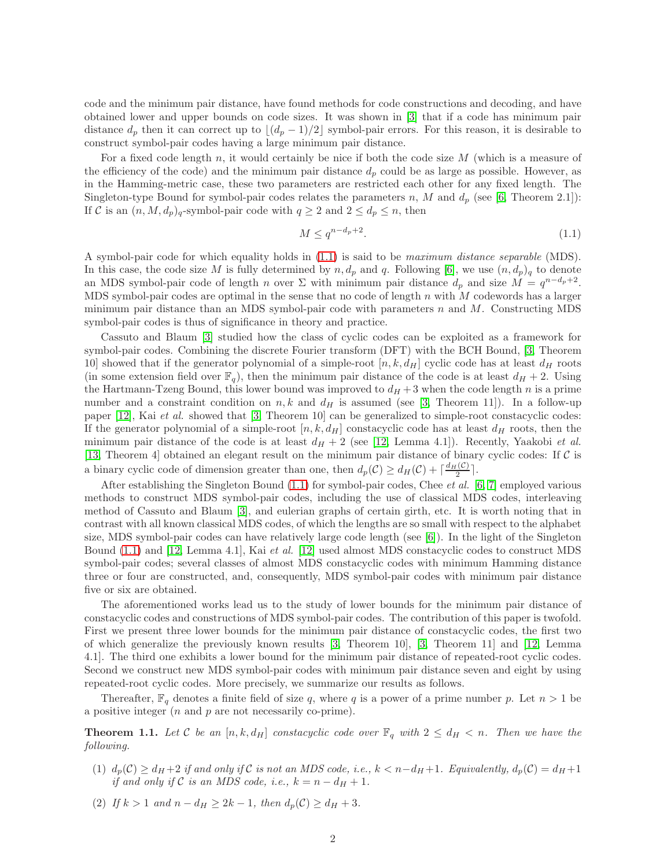code and the minimum pair distance, have found methods for code constructions and decoding, and have obtained lower and upper bounds on code sizes. It was shown in [\[3\]](#page-8-0) that if a code has minimum pair distance  $d_p$  then it can correct up to  $\lfloor (d_p - 1)/2 \rfloor$  symbol-pair errors. For this reason, it is desirable to construct symbol-pair codes having a large minimum pair distance.

For a fixed code length n, it would certainly be nice if both the code size  $M$  (which is a measure of the efficiency of the code) and the minimum pair distance  $d_p$  could be as large as possible. However, as in the Hamming-metric case, these two parameters are restricted each other for any fixed length. The Singleton-type Bound for symbol-pair codes relates the parameters n, M and  $d_p$  (see [\[6,](#page-8-3) Theorem 2.1]): If C is an  $(n, M, d_p)_q$ -symbol-pair code with  $q \ge 2$  and  $2 \le d_p \le n$ , then

<span id="page-1-0"></span>
$$
M \le q^{n-d_p+2}.\tag{1.1}
$$

A symbol-pair code for which equality holds in [\(1.1\)](#page-1-0) is said to be maximum distance separable (MDS). In this case, the code size M is fully determined by  $n, d_p$  and q. Following [\[6\]](#page-8-3), we use  $(n, d_p)_q$  to denote an MDS symbol-pair code of length n over  $\Sigma$  with minimum pair distance  $d_p$  and size  $M = q^{n-d_p+2}$ . MDS symbol-pair codes are optimal in the sense that no code of length n with M codewords has a larger minimum pair distance than an MDS symbol-pair code with parameters  $n$  and  $M$ . Constructing MDS symbol-pair codes is thus of significance in theory and practice.

Cassuto and Blaum [\[3\]](#page-8-0) studied how the class of cyclic codes can be exploited as a framework for symbol-pair codes. Combining the discrete Fourier transform (DFT) with the BCH Bound, [\[3,](#page-8-0) Theorem 10] showed that if the generator polynomial of a simple-root  $[n, k, d_H]$  cyclic code has at least  $d_H$  roots (in some extension field over  $\mathbb{F}_q$ ), then the minimum pair distance of the code is at least  $d_H + 2$ . Using the Hartmann-Tzeng Bound, this lower bound was improved to  $d_H + 3$  when the code length n is a prime number and a constraint condition on  $n, k$  and  $d_H$  is assumed (see [\[3,](#page-8-0) Theorem 11]). In a follow-up paper [\[12\]](#page-8-4), Kai *et al.* showed that [\[3,](#page-8-0) Theorem 10] can be generalized to simple-root constacyclic codes: If the generator polynomial of a simple-root  $[n, k, d_H]$  constacyclic code has at least  $d_H$  roots, then the minimum pair distance of the code is at least  $d_H + 2$  (see [\[12,](#page-8-4) Lemma 4.1]). Recently, Yaakobi *et al.* [\[13,](#page-8-5) Theorem 4] obtained an elegant result on the minimum pair distance of binary cyclic codes: If C is a binary cyclic code of dimension greater than one, then  $d_p(\mathcal{C}) \geq d_H(\mathcal{C}) + \lceil \frac{d_H(\mathcal{C})}{2} \rceil$ .

After establishing the Singleton Bound  $(1.1)$  for symbol-pair codes, Chee *et al.* [\[6,](#page-8-3) [7\]](#page-8-6) employed various methods to construct MDS symbol-pair codes, including the use of classical MDS codes, interleaving method of Cassuto and Blaum [\[3\]](#page-8-0), and eulerian graphs of certain girth, etc. It is worth noting that in contrast with all known classical MDS codes, of which the lengths are so small with respect to the alphabet size, MDS symbol-pair codes can have relatively large code length (see [\[6\]](#page-8-3)). In the light of the Singleton Bound [\(1.1\)](#page-1-0) and [\[12,](#page-8-4) Lemma 4.1], Kai et al. [\[12\]](#page-8-4) used almost MDS constacyclic codes to construct MDS symbol-pair codes; several classes of almost MDS constacyclic codes with minimum Hamming distance three or four are constructed, and, consequently, MDS symbol-pair codes with minimum pair distance five or six are obtained.

The aforementioned works lead us to the study of lower bounds for the minimum pair distance of constacyclic codes and constructions of MDS symbol-pair codes. The contribution of this paper is twofold. First we present three lower bounds for the minimum pair distance of constacyclic codes, the first two of which generalize the previously known results [\[3,](#page-8-0) Theorem 10], [\[3,](#page-8-0) Theorem 11] and [\[12,](#page-8-4) Lemma 4.1]. The third one exhibits a lower bound for the minimum pair distance of repeated-root cyclic codes. Second we construct new MDS symbol-pair codes with minimum pair distance seven and eight by using repeated-root cyclic codes. More precisely, we summarize our results as follows.

Thereafter,  $\mathbb{F}_q$  denotes a finite field of size q, where q is a power of a prime number p. Let  $n > 1$  be a positive integer  $(n \text{ and } p \text{ are not necessarily co-prime}).$ 

<span id="page-1-1"></span>**Theorem 1.1.** Let C be an  $[n, k, d_H]$  constacyclic code over  $\mathbb{F}_q$  with  $2 \leq d_H < n$ . Then we have the following.

- (1)  $d_p(\mathcal{C}) \geq d_H + 2$  if and only if  $\mathcal C$  is not an MDS code, i.e.,  $k < n-d_H+1$ . Equivalently,  $d_p(\mathcal{C}) = d_H + 1$ if and only if C is an MDS code, i.e.,  $k = n - d_H + 1$ .
- (2) If  $k > 1$  and  $n d_H \geq 2k 1$ , then  $d_p(\mathcal{C}) \geq d_H + 3$ .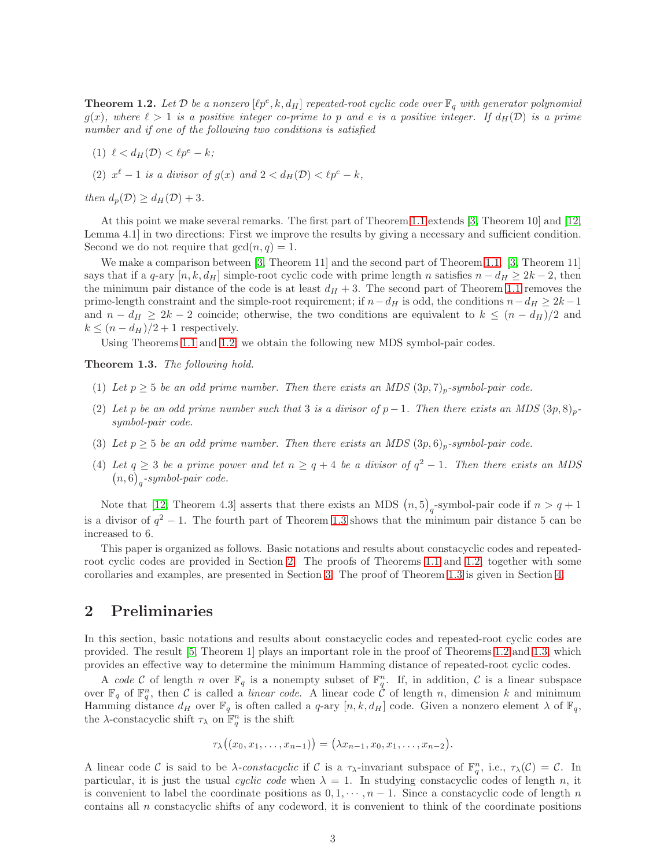<span id="page-2-0"></span>**Theorem 1.2.** Let  $D$  be a nonzero  $[\ell p^e, k, d_H]$  repeated-root cyclic code over  $\mathbb{F}_q$  with generator polynomial  $g(x)$ , where  $\ell > 1$  is a positive integer co-prime to p and e is a positive integer. If  $d_H(\mathcal{D})$  is a prime number and if one of the following two conditions is satisfied

- (1)  $\ell < d_H(\mathcal{D}) < \ell p^e k$ ;
- (2)  $x^{\ell} 1$  is a divisor of  $g(x)$  and  $2 < d_H(\mathcal{D}) < \ell p^e k$ ,

then  $d_p(\mathcal{D}) \geq d_{H}(\mathcal{D}) + 3$ .

At this point we make several remarks. The first part of Theorem [1.1](#page-1-1) extends [\[3,](#page-8-0) Theorem 10] and [\[12,](#page-8-4) Lemma 4.1] in two directions: First we improve the results by giving a necessary and sufficient condition. Second we do not require that  $gcd(n, q) = 1$ .

We make a comparison between [\[3,](#page-8-0) Theorem 11] and the second part of Theorem [1.1.](#page-1-1) [3, Theorem 11] says that if a q-ary  $[n, k, d_H]$  simple-root cyclic code with prime length n satisfies  $n - d_H \geq 2k - 2$ , then the minimum pair distance of the code is at least  $d_H + 3$ . The second part of Theorem [1.1](#page-1-1) removes the prime-length constraint and the simple-root requirement; if  $n-d_H$  is odd, the conditions  $n-d_H \geq 2k-1$ and  $n - d_H \geq 2k - 2$  coincide; otherwise, the two conditions are equivalent to  $k \leq (n - d_H)/2$  and  $k \leq (n - d_H)/2 + 1$  respectively.

Using Theorems [1.1](#page-1-1) and [1.2,](#page-2-0) we obtain the following new MDS symbol-pair codes.

<span id="page-2-1"></span>Theorem 1.3. The following hold.

- (1) Let  $p > 5$  be an odd prime number. Then there exists an MDS  $(3p, 7)_p$ -symbol-pair code.
- (2) Let p be an odd prime number such that 3 is a divisor of  $p-1$ . Then there exists an MDS  $(3p, 8)_p$ symbol-pair code.
- (3) Let  $p \geq 5$  be an odd prime number. Then there exists an MDS  $(3p, 6)_p$ -symbol-pair code.
- (4) Let  $q \geq 3$  be a prime power and let  $n \geq q+4$  be a divisor of  $q^2-1$ . Then there exists an MDS  $(n,6)<sub>q</sub>$ -symbol-pair code.

Note that [\[12,](#page-8-4) Theorem 4.3] asserts that there exists an MDS  $(n,5)$ <sub>q</sub>-symbol-pair code if  $n > q + 1$ is a divisor of  $q^2 - 1$ . The fourth part of Theorem [1.3](#page-2-1) shows that the minimum pair distance 5 can be increased to 6.

This paper is organized as follows. Basic notations and results about constacyclic codes and repeatedroot cyclic codes are provided in Section [2.](#page-2-2) The proofs of Theorems [1.1](#page-1-1) and [1.2,](#page-2-0) together with some corollaries and examples, are presented in Section [3.](#page-3-0) The proof of Theorem [1.3](#page-2-1) is given in Section [4.](#page-5-0)

#### <span id="page-2-2"></span>2 Preliminaries

In this section, basic notations and results about constacyclic codes and repeated-root cyclic codes are provided. The result [\[5,](#page-8-7) Theorem 1] plays an important role in the proof of Theorems [1.2](#page-2-0) and [1.3,](#page-2-1) which provides an effective way to determine the minimum Hamming distance of repeated-root cyclic codes.

A code C of length n over  $\mathbb{F}_q$  is a nonempty subset of  $\mathbb{F}_q^n$ . If, in addition, C is a linear subspace over  $\mathbb{F}_q$  of  $\mathbb{F}_q^n$ , then C is called a *linear code*. A linear code C of length n, dimension k and minimum Hamming distance  $d_H$  over  $\mathbb{F}_q$  is often called a q-ary  $[n, k, d_H]$  code. Given a nonzero element  $\lambda$  of  $\mathbb{F}_q$ , the  $\lambda$ -constacyclic shift  $\tau_{\lambda}$  on  $\mathbb{F}_q^n$  is the shift

$$
\tau_{\lambda}((x_0,x_1,\ldots,x_{n-1}))=(\lambda x_{n-1},x_0,x_1,\ldots,x_{n-2}).
$$

A linear code C is said to be  $\lambda$ -constacyclic if C is a  $\tau_{\lambda}$ -invariant subspace of  $\mathbb{F}_q^n$ , i.e.,  $\tau_{\lambda}(\mathcal{C}) = \mathcal{C}$ . In particular, it is just the usual cyclic code when  $\lambda = 1$ . In studying constacyclic codes of length n, it is convenient to label the coordinate positions as  $0, 1, \dots, n-1$ . Since a constacyclic code of length n contains all  $n$  constacyclic shifts of any codeword, it is convenient to think of the coordinate positions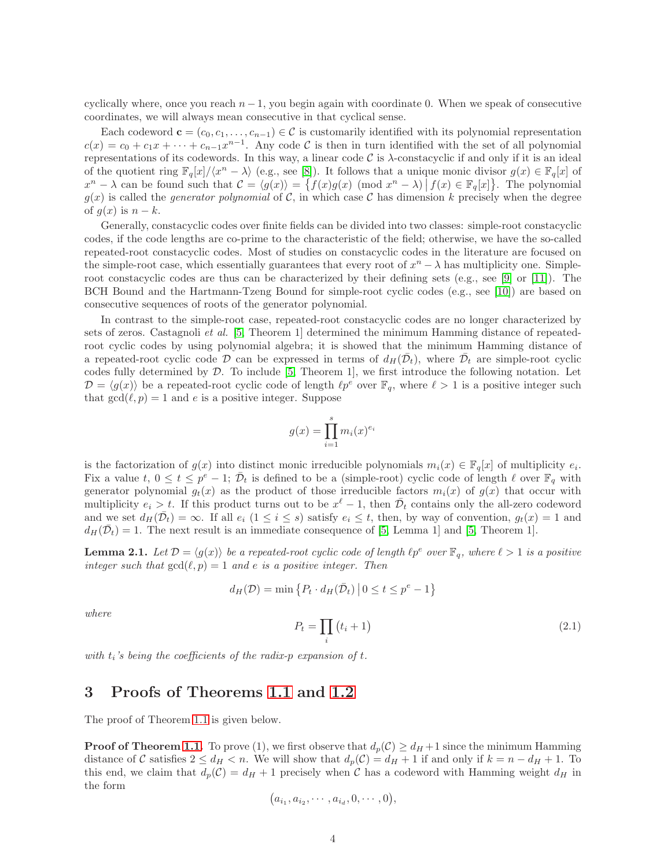cyclically where, once you reach  $n-1$ , you begin again with coordinate 0. When we speak of consecutive coordinates, we will always mean consecutive in that cyclical sense.

Each codeword  $\mathbf{c} = (c_0, c_1, \dots, c_{n-1}) \in \mathcal{C}$  is customarily identified with its polynomial representation  $c(x) = c_0 + c_1 x + \cdots + c_{n-1} x^{n-1}$ . Any code C is then in turn identified with the set of all polynomial representations of its codewords. In this way, a linear code C is  $\lambda$ -constacyclic if and only if it is an ideal of the quotient ring  $\mathbb{F}_q[x]/\langle x^n - \lambda \rangle$  (e.g., see [\[8\]](#page-8-8)). It follows that a unique monic divisor  $g(x) \in \mathbb{F}_q[x]$  of  $x^{n} - \lambda$  can be found such that  $\mathcal{C} = \langle g(x) \rangle = \{ f(x)g(x) \pmod{x^{n} - \lambda} \mid f(x) \in \mathbb{F}_{q}[x] \}$ . The polynomial  $g(x)$  is called the *generator polynomial* of C, in which case C has dimension k precisely when the degree of  $g(x)$  is  $n - k$ .

Generally, constacyclic codes over finite fields can be divided into two classes: simple-root constacyclic codes, if the code lengths are co-prime to the characteristic of the field; otherwise, we have the so-called repeated-root constacyclic codes. Most of studies on constacyclic codes in the literature are focused on the simple-root case, which essentially guarantees that every root of  $x<sup>n</sup> - \lambda$  has multiplicity one. Simpleroot constacyclic codes are thus can be characterized by their defining sets (e.g., see [\[9\]](#page-8-9) or [\[11\]](#page-8-10)). The BCH Bound and the Hartmann-Tzeng Bound for simple-root cyclic codes (e.g., see [\[10\]](#page-8-11)) are based on consecutive sequences of roots of the generator polynomial.

In contrast to the simple-root case, repeated-root constacyclic codes are no longer characterized by sets of zeros. Castagnoli et al. [\[5,](#page-8-7) Theorem 1] determined the minimum Hamming distance of repeatedroot cyclic codes by using polynomial algebra; it is showed that the minimum Hamming distance of a repeated-root cyclic code  $\mathcal D$  can be expressed in terms of  $d_H(\bar{\mathcal D}_t)$ , where  $\bar{\mathcal D}_t$  are simple-root cyclic codes fully determined by  $D$ . To include [\[5,](#page-8-7) Theorem 1], we first introduce the following notation. Let  $\mathcal{D} = \langle g(x) \rangle$  be a repeated-root cyclic code of length  $\ell p^e$  over  $\mathbb{F}_q$ , where  $\ell > 1$  is a positive integer such that  $gcd(\ell, p) = 1$  and e is a positive integer. Suppose

$$
g(x) = \prod_{i=1}^{s} m_i(x)^{e_i}
$$

is the factorization of  $g(x)$  into distinct monic irreducible polynomials  $m_i(x) \in \mathbb{F}_q[x]$  of multiplicity  $e_i$ . Fix a value  $t, 0 \le t \le p^e - 1$ ;  $\overline{\mathcal{D}}_t$  is defined to be a (simple-root) cyclic code of length  $\ell$  over  $\mathbb{F}_q$  with generator polynomial  $g_t(x)$  as the product of those irreducible factors  $m_i(x)$  of  $g(x)$  that occur with multiplicity  $e_i > t$ . If this product turns out to be  $x^{\ell} - 1$ , then  $\bar{\mathcal{D}}_t$  contains only the all-zero codeword and we set  $d_H(\overline{\mathcal{D}}_t) = \infty$ . If all  $e_i$   $(1 \leq i \leq s)$  satisfy  $e_i \leq t$ , then, by way of convention,  $g_t(x) = 1$  and  $d_H(\overline{\mathcal{D}}_t) = 1$ . The next result is an immediate consequence of [\[5,](#page-8-7) Lemma 1] and [\[5,](#page-8-7) Theorem 1].

<span id="page-3-2"></span>**Lemma 2.1.** Let  $\mathcal{D} = \langle g(x) \rangle$  be a repeated-root cyclic code of length  $\ell p^e$  over  $\mathbb{F}_q$ , where  $\ell > 1$  is a positive integer such that  $gcd(\ell, p) = 1$  and e is a positive integer. Then

$$
d_H(\mathcal{D}) = \min \left\{ P_t \cdot d_H(\bar{\mathcal{D}}_t) \, \middle| \, 0 \le t \le p^e - 1 \right\}
$$

where

<span id="page-3-1"></span>
$$
P_t = \prod_i (t_i + 1) \tag{2.1}
$$

<span id="page-3-0"></span>with  $t_i$ 's being the coefficients of the radix-p expansion of  $t$ .

### 3 Proofs of Theorems [1.1](#page-1-1) and [1.2](#page-2-0)

The proof of Theorem [1.1](#page-1-1) is given below.

**Proof of Theorem [1.1.](#page-1-1)** To prove (1), we first observe that  $d_p(\mathcal{C}) \geq d_H + 1$  since the minimum Hamming distance of C satisfies  $2 \le d_H < n$ . We will show that  $d_p(\mathcal{C}) = d_H + 1$  if and only if  $k = n - d_H + 1$ . To this end, we claim that  $d_p(\mathcal{C}) = d_H + 1$  precisely when  $\mathcal C$  has a codeword with Hamming weight  $d_H$  in the form

$$
(a_{i_1}, a_{i_2}, \cdots, a_{i_d}, 0, \cdots, 0),
$$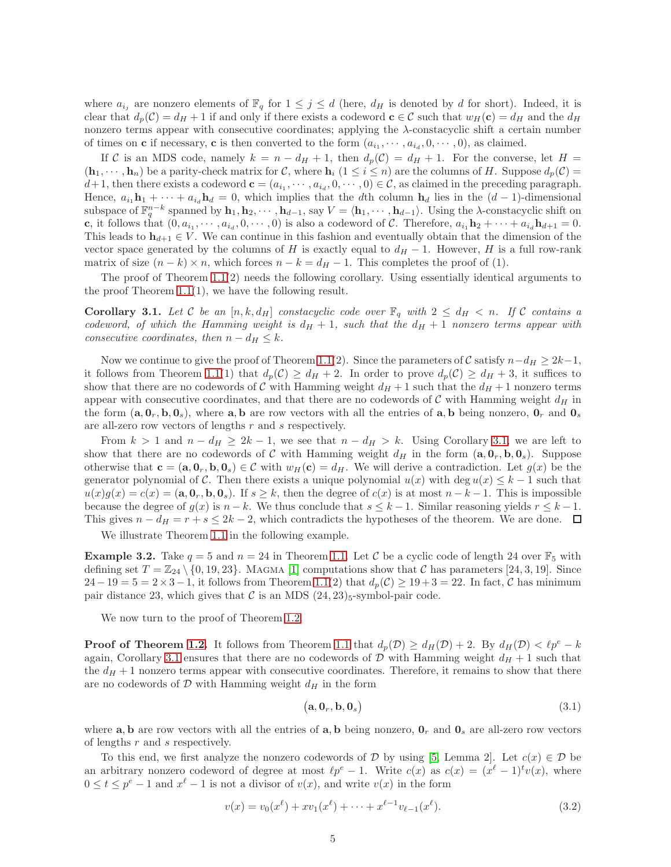where  $a_{i_j}$  are nonzero elements of  $\mathbb{F}_q$  for  $1 \leq j \leq d$  (here,  $d_H$  is denoted by d for short). Indeed, it is clear that  $d_p(\mathcal{C}) = d_H + 1$  if and only if there exists a codeword  $\mathbf{c} \in \mathcal{C}$  such that  $w_H(\mathbf{c}) = d_H$  and the  $d_H$ nonzero terms appear with consecutive coordinates; applying the  $\lambda$ -constacyclic shift a certain number of times on **c** if necessary, **c** is then converted to the form  $(a_{i_1}, \dots, a_{i_d}, 0, \dots, 0)$ , as claimed.

If C is an MDS code, namely  $k = n - d_H + 1$ , then  $d_p(\mathcal{C}) = d_H + 1$ . For the converse, let  $H =$  $(\mathbf{h}_1, \dots, \mathbf{h}_n)$  be a parity-check matrix for C, where  $\mathbf{h}_i$   $(1 \leq i \leq n)$  are the columns of H. Suppose  $d_p(\mathcal{C})$  $d+1$ , then there exists a codeword  $\mathbf{c} = (a_{i_1}, \dots, a_{i_d}, 0, \dots, 0) \in \mathcal{C}$ , as claimed in the preceding paragraph. Hence,  $a_{i_1} \mathbf{h}_1 + \cdots + a_{i_d} \mathbf{h}_d = 0$ , which implies that the dth column  $\mathbf{h}_d$  lies in the  $(d-1)$ -dimensional subspace of  $\mathbb{F}_q^{n-k}$  spanned by  $\mathbf{h}_1, \mathbf{h}_2, \cdots, \mathbf{h}_{d-1}$ , say  $V = \langle \mathbf{h}_1, \cdots, \mathbf{h}_{d-1} \rangle$ . Using the  $\lambda$ -constacyclic shift on c, it follows that  $(0, a_{i_1}, \cdots, a_{i_d}, 0, \cdots, 0)$  is also a codeword of C. Therefore,  $a_{i_1} \mathbf{h}_2 + \cdots + a_{i_d} \mathbf{h}_{d+1} = 0$ . This leads to  $\mathbf{h}_{d+1} \in V$ . We can continue in this fashion and eventually obtain that the dimension of the vector space generated by the columns of H is exactly equal to  $d_H - 1$ . However, H is a full row-rank matrix of size  $(n - k) \times n$ , which forces  $n - k = d<sub>H</sub> - 1$ . This completes the proof of (1).

The proof of Theorem  $1.1(2)$  needs the following corollary. Using essentially identical arguments to the proof Theorem  $1.1(1)$ , we have the following result.

<span id="page-4-0"></span>**Corollary 3.1.** Let C be an  $[n, k, d_H]$  constacyclic code over  $\mathbb{F}_q$  with  $2 \leq d_H < n$ . If C contains a codeword, of which the Hamming weight is  $d_H + 1$ , such that the  $d_H + 1$  nonzero terms appear with consecutive coordinates, then  $n - d_H \leq k$ .

Now we continue to give the proof of Theorem [1.1\(](#page-1-1)2). Since the parameters of C satisfy  $n-d_H \geq 2k-1$ , it follows from Theorem [1.1\(](#page-1-1)1) that  $d_p(\mathcal{C}) \geq d_H + 2$ . In order to prove  $d_p(\mathcal{C}) \geq d_H + 3$ , it suffices to show that there are no codewords of C with Hamming weight  $d_H + 1$  such that the  $d_H + 1$  nonzero terms appear with consecutive coordinates, and that there are no codewords of  $\mathcal C$  with Hamming weight  $d_H$  in the form  $(a, 0_r, b, 0_s)$ , where a, b are row vectors with all the entries of a, b being nonzero,  $0_r$  and  $0_s$ are all-zero row vectors of lengths r and s respectively.

From  $k > 1$  and  $n - d_H \geq 2k - 1$ , we see that  $n - d_H > k$ . Using Corollary [3.1,](#page-4-0) we are left to show that there are no codewords of C with Hamming weight  $d_H$  in the form  $(a, 0_r, b, 0_s)$ . Suppose otherwise that  $\mathbf{c} = (\mathbf{a}, \mathbf{0}_r, \mathbf{b}, \mathbf{0}_s) \in \mathcal{C}$  with  $w_H(\mathbf{c}) = d_H$ . We will derive a contradiction. Let  $g(x)$  be the generator polynomial of C. Then there exists a unique polynomial  $u(x)$  with deg  $u(x) \leq k-1$  such that  $u(x)g(x) = c(x) = (a, 0, b, 0, c)$ . If  $s \ge k$ , then the degree of  $c(x)$  is at most  $n - k - 1$ . This is impossible because the degree of  $g(x)$  is  $n - k$ . We thus conclude that  $s \leq k - 1$ . Similar reasoning yields  $r \leq k - 1$ . This gives  $n - d_H = r + s \leq 2k - 2$ , which contradicts the hypotheses of the theorem. We are done.  $\Box$ 

We illustrate Theorem [1.1](#page-1-1) in the following example.

**Example 3.2.** Take  $q = 5$  and  $n = 24$  in Theorem [1.1.](#page-1-1) Let C be a cyclic code of length 24 over  $\mathbb{F}_5$  with defining set  $T = \mathbb{Z}_{24} \setminus \{0, 19, 23\}$ . MAGMA [\[1\]](#page-8-12) computations show that C has parameters [24, 3, 19]. Since  $24-19=5=2\times3-1$ , it follows from Theorem [1.1\(](#page-1-1)2) that  $d_p(\mathcal{C})\geq 19+3=22$ . In fact,  $\mathcal C$  has minimum pair distance 23, which gives that  $\mathcal C$  is an MDS  $(24, 23)$ <sub>5</sub>-symbol-pair code.

We now turn to the proof of Theorem [1.2.](#page-2-0)

**Proof of Theorem [1.2.](#page-2-0)** It follows from Theorem [1.1](#page-1-1) that  $d_p(\mathcal{D}) \geq d_H(\mathcal{D}) + 2$ . By  $d_H(\mathcal{D}) < \ell p^e - k$ again, Corollary [3.1](#page-4-0) ensures that there are no codewords of D with Hamming weight  $d_H + 1$  such that the  $d_H + 1$  nonzero terms appear with consecutive coordinates. Therefore, it remains to show that there are no codewords of  $D$  with Hamming weight  $d_H$  in the form

<span id="page-4-2"></span>
$$
(\mathbf{a}, \mathbf{0}_r, \mathbf{b}, \mathbf{0}_s) \tag{3.1}
$$

where **a**, **b** are row vectors with all the entries of **a**, **b** being nonzero,  $\mathbf{0}_r$  and  $\mathbf{0}_s$  are all-zero row vectors of lengths r and s respectively.

To this end, we first analyze the nonzero codewords of  $D$  by using [\[5,](#page-8-7) Lemma 2]. Let  $c(x) \in D$  be an arbitrary nonzero codeword of degree at most  $\ell p^e - 1$ . Write  $c(x)$  as  $c(x) = (x^{\ell} - 1)^t v(x)$ , where  $0 \le t \le p^e - 1$  and  $x^{\ell} - 1$  is not a divisor of  $v(x)$ , and write  $v(x)$  in the form

<span id="page-4-1"></span>
$$
v(x) = v_0(x^{\ell}) + xv_1(x^{\ell}) + \dots + x^{\ell-1}v_{\ell-1}(x^{\ell}).
$$
\n(3.2)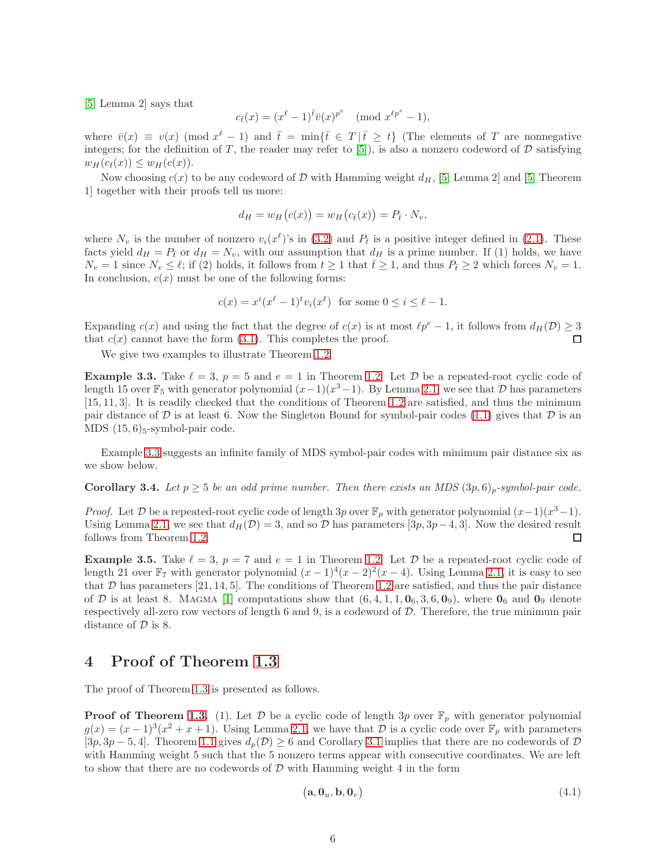[\[5,](#page-8-7) Lemma 2] says that

$$
c_{\bar{t}}(x) = (x^{\ell} - 1)^{\bar{t}} \bar{v}(x)^{p^e} \pmod{x^{\ell p^e} - 1},
$$

where  $\bar{v}(x) \equiv v(x) \pmod{x^{\ell}-1}$  and  $\bar{t} = \min\{\bar{t} \in T \mid \bar{t} \geq t\}$  (The elements of T are nonnegative integers; for the definition of T, the reader may refer to [\[5\]](#page-8-7)), is also a nonzero codeword of  $D$  satisfying  $w_H(c_{\overline{t}}(x)) \leq w_H(c(x)).$ 

Now choosing  $c(x)$  to be any codeword of D with Hamming weight  $d_H$ , [\[5,](#page-8-7) Lemma 2] and [5, Theorem 1] together with their proofs tell us more:

$$
d_H = w_H(c(x)) = w_H(c_{\bar{t}}(x)) = P_{\bar{t}} \cdot N_v,
$$

where  $N_v$  is the number of nonzero  $v_i(x^{\ell})$ 's in [\(3.2\)](#page-4-1) and  $P_{\bar{t}}$  is a positive integer defined in [\(2.1\)](#page-3-1). These facts yield  $d_H = P_t$  or  $d_H = N_v$ , with our assumption that  $d_H$  is a prime number. If (1) holds, we have  $N_v = 1$  since  $N_v \leq \ell$ ; if (2) holds, it follows from  $t \geq 1$  that  $\overline{t} \geq 1$ , and thus  $P_{\overline{t}} \geq 2$  which forces  $N_v = 1$ . In conclusion,  $c(x)$  must be one of the following forms:

$$
c(x) = x^i (x^\ell - 1)^t v_i (x^\ell) \text{ for some } 0 \le i \le \ell - 1.
$$

Expanding  $c(x)$  and using the fact that the degree of  $c(x)$  is at most  $\ell p^e - 1$ , it follows from  $d_H(\mathcal{D}) \geq 3$ that  $c(x)$  cannot have the form  $(3.1)$ . This completes the proof. П

We give two examples to illustrate Theorem [1.2.](#page-2-0)

<span id="page-5-1"></span>**Example 3.3.** Take  $\ell = 3$ ,  $p = 5$  and  $e = 1$  in Theorem [1.2.](#page-2-0) Let  $\mathcal{D}$  be a repeated-root cyclic code of length 15 over  $\mathbb{F}_5$  with generator polynomial  $(x-1)(x^3-1)$ . By Lemma [2.1,](#page-3-2) we see that  $\mathcal D$  has parameters [15, 11, 3]. It is readily checked that the conditions of Theorem [1.2](#page-2-0) are satisfied, and thus the minimum pair distance of D is at least 6. Now the Singleton Bound for symbol-pair codes [\(1.1\)](#page-1-0) gives that D is an MDS  $(15, 6)$ <sub>5</sub>-symbol-pair code.

Example [3.3](#page-5-1) suggests an infinite family of MDS symbol-pair codes with minimum pair distance six as we show below.

<span id="page-5-3"></span>**Corollary 3.4.** Let  $p \geq 5$  be an odd prime number. Then there exists an MDS  $(3p, 6)_p$ -symbol-pair code.

*Proof.* Let  $D$  be a repeated-root cyclic code of length 3p over  $\mathbb{F}_p$  with generator polynomial  $(x-1)(x^3-1)$ . Using Lemma [2.1,](#page-3-2) we see that  $d_H(\mathcal{D}) = 3$ , and so  $\mathcal D$  has parameters [3p, 3p – 4, 3]. Now the desired result follows from Theorem [1.2.](#page-2-0)  $\Box$ 

**Example 3.5.** Take  $\ell = 3$ ,  $p = 7$  and  $e = 1$  in Theorem [1.2.](#page-2-0) Let  $\mathcal{D}$  be a repeated-root cyclic code of length 21 over  $\mathbb{F}_7$  with generator polynomial  $(x-1)^4(x-2)^2(x-4)$ . Using Lemma [2.1,](#page-3-2) it is easy to see that  $D$  has parameters [21, 14, 5]. The conditions of Theorem [1.2](#page-2-0) are satisfied, and thus the pair distance of D is at least 8. MAGMA [\[1\]](#page-8-12) computations show that  $(6, 4, 1, 1, 0_6, 3, 6, 0_9)$ , where  $0_6$  and  $0_9$  denote respectively all-zero row vectors of length  $6$  and  $9$ , is a codeword of  $D$ . Therefore, the true minimum pair distance of  $D$  is 8.

#### <span id="page-5-0"></span>4 Proof of Theorem [1.3](#page-2-1)

The proof of Theorem [1.3](#page-2-1) is presented as follows.

**Proof of Theorem [1.3.](#page-2-1)** (1). Let D be a cyclic code of length 3p over  $\mathbb{F}_p$  with generator polynomial  $g(x) = (x-1)^3(x^2+x+1)$ . Using Lemma [2.1,](#page-3-2) we have that  $\mathcal D$  is a cyclic code over  $\mathbb F_p$  with parameters  $[3p, 3p - 5, 4]$ . Theorem [1.1](#page-1-1) gives  $d_p(\mathcal{D}) \geq 6$  and Corollary [3.1](#page-4-0) implies that there are no codewords of  $\mathcal{D}$ with Hamming weight 5 such that the 5 nonzero terms appear with consecutive coordinates. We are left to show that there are no codewords of  $\mathcal D$  with Hamming weight 4 in the form

<span id="page-5-2"></span>
$$
(\mathbf{a}, \mathbf{0}_u, \mathbf{b}, \mathbf{0}_v) \tag{4.1}
$$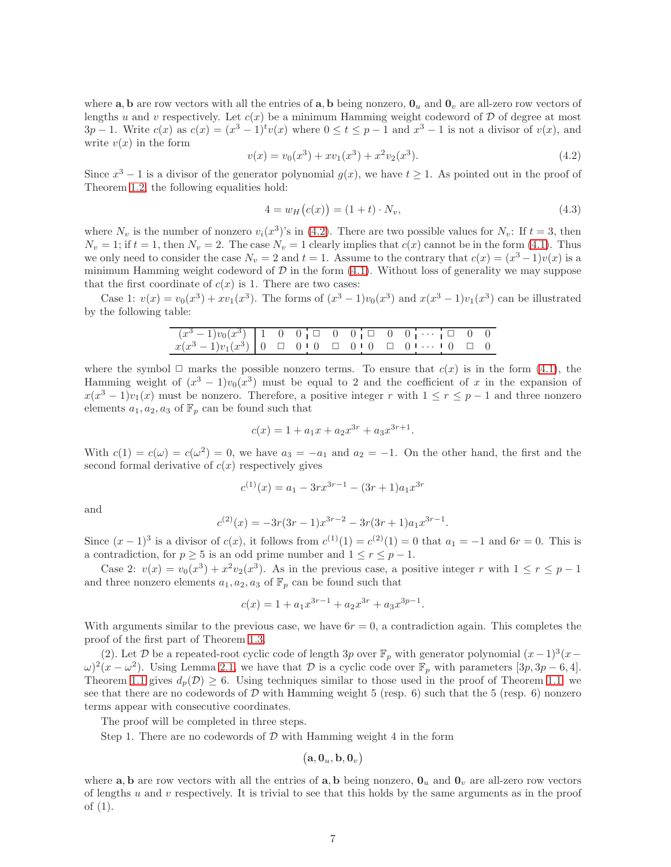where **a**, **b** are row vectors with all the entries of **a**, **b** being nonzero,  $\mathbf{0}_u$  and  $\mathbf{0}_v$  are all-zero row vectors of lengths u and v respectively. Let  $c(x)$  be a minimum Hamming weight codeword of  $D$  of degree at most  $3p-1$ . Write  $c(x)$  as  $c(x) = (x^3-1)^t v(x)$  where  $0 \le t \le p-1$  and  $x^3-1$  is not a divisor of  $v(x)$ , and write  $v(x)$  in the form

<span id="page-6-0"></span>
$$
v(x) = v_0(x^3) + xv_1(x^3) + x^2v_2(x^3).
$$
\n(4.2)

Since  $x^3 - 1$  is a divisor of the generator polynomial  $g(x)$ , we have  $t \ge 1$ . As pointed out in the proof of Theorem [1.2,](#page-2-0) the following equalities hold:

<span id="page-6-1"></span>
$$
4 = w_H(c(x)) = (1+t) \cdot N_v,
$$
\n(4.3)

.

where  $N_v$  is the number of nonzero  $v_i(x^3)$ 's in [\(4.2\)](#page-6-0). There are two possible values for  $N_v$ : If  $t = 3$ , then  $N_v = 1$ ; if  $t = 1$ , then  $N_v = 2$ . The case  $N_v = 1$  clearly implies that  $c(x)$  cannot be in the form [\(4.1\)](#page-5-2). Thus we only need to consider the case  $N_v = 2$  and  $t = 1$ . Assume to the contrary that  $c(x) = (x^3 - 1)v(x)$  is a minimum Hamming weight codeword of  $D$  in the form  $(4.1)$ . Without loss of generality we may suppose that the first coordinate of  $c(x)$  is 1. There are two cases:

Case 1:  $v(x) = v_0(x^3) + xv_1(x^3)$ . The forms of  $(x^3 - 1)v_0(x^3)$  and  $x(x^3 - 1)v_1(x^3)$  can be illustrated by the following table:

| $(x^3-1)v_0(x^3)$ 1 0 0 0 0 0 0 0 0 0 $\cdots$ 0 0 0 |  |  |  |  |  |
|------------------------------------------------------|--|--|--|--|--|
|                                                      |  |  |  |  |  |

where the symbol  $\Box$  marks the possible nonzero terms. To ensure that  $c(x)$  is in the form [\(4.1\)](#page-5-2), the Hamming weight of  $(x^3 - 1)v_0(x^3)$  must be equal to 2 and the coefficient of x in the expansion of  $x(x^3 - 1)v_1(x)$  must be nonzero. Therefore, a positive integer r with  $1 \le r \le p-1$  and three nonzero elements  $a_1, a_2, a_3$  of  $\mathbb{F}_p$  can be found such that

$$
c(x) = 1 + a_1 x + a_2 x^{3r} + a_3 x^{3r+1}.
$$

With  $c(1) = c(\omega) = c(\omega^2) = 0$ , we have  $a_3 = -a_1$  and  $a_2 = -1$ . On the other hand, the first and the second formal derivative of  $c(x)$  respectively gives

$$
c^{(1)}(x) = a_1 - 3rx^{3r-1} - (3r+1)a_1x^{3r}
$$

and

$$
c^{(2)}(x) = -3r(3r-1)x^{3r-2} - 3r(3r+1)a_1x^{3r-1}
$$

Since  $(x-1)^3$  is a divisor of  $c(x)$ , it follows from  $c^{(1)}(1) = c^{(2)}(1) = 0$  that  $a_1 = -1$  and  $6r = 0$ . This is a contradiction, for  $p \geq 5$  is an odd prime number and  $1 \leq r \leq p-1$ .

Case 2:  $v(x) = v_0(x^3) + x^2v_2(x^3)$ . As in the previous case, a positive integer r with  $1 \le r \le p-1$ and three nonzero elements  $a_1, a_2, a_3$  of  $\mathbb{F}_p$  can be found such that

$$
c(x) = 1 + a_1 x^{3r-1} + a_2 x^{3r} + a_3 x^{3p-1}.
$$

With arguments similar to the previous case, we have  $6r = 0$ , a contradiction again. This completes the proof of the first part of Theorem [1.3.](#page-2-1)

(2). Let D be a repeated-root cyclic code of length 3p over  $\mathbb{F}_p$  with generator polynomial  $(x-1)^3(x-1)$  $\omega^2(x-\omega^2)$ . Using Lemma [2.1,](#page-3-2) we have that  $\mathcal D$  is a cyclic code over  $\mathbb F_p$  with parameters  $[3p, 3p-6, 4]$ . Theorem [1.1](#page-1-1) gives  $d_p(\mathcal{D}) \geq 6$ . Using techniques similar to those used in the proof of Theorem [1.1,](#page-1-1) we see that there are no codewords of  $\mathcal D$  with Hamming weight 5 (resp. 6) such that the 5 (resp. 6) nonzero terms appear with consecutive coordinates.

The proof will be completed in three steps.

Step 1. There are no codewords of  $\mathcal D$  with Hamming weight 4 in the form

$$
\big(\mathbf{a},\mathbf{0}_u,\mathbf{b},\mathbf{0}_v\big)
$$

where **a**, **b** are row vectors with all the entries of **a**, **b** being nonzero,  $\mathbf{0}_u$  and  $\mathbf{0}_v$  are all-zero row vectors of lengths  $u$  and  $v$  respectively. It is trivial to see that this holds by the same arguments as in the proof of (1).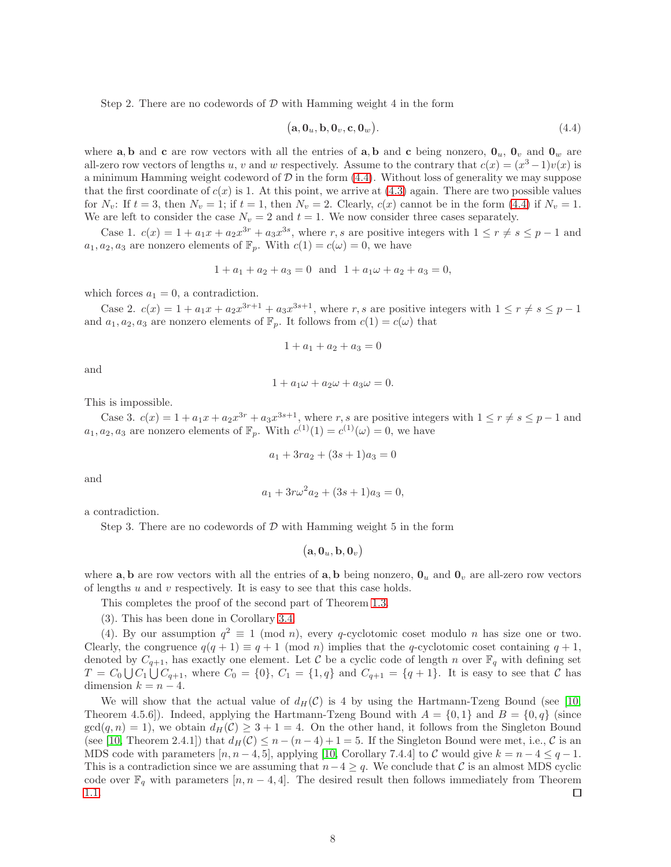Step 2. There are no codewords of  $D$  with Hamming weight 4 in the form

<span id="page-7-0"></span>
$$
(\mathbf{a}, \mathbf{0}_u, \mathbf{b}, \mathbf{0}_v, \mathbf{c}, \mathbf{0}_w). \tag{4.4}
$$

where a, b and c are row vectors with all the entries of a, b and c being nonzero,  $\mathbf{0}_u$ ,  $\mathbf{0}_v$  and  $\mathbf{0}_w$  are all-zero row vectors of lengths u, v and w respectively. Assume to the contrary that  $c(x) = (x^3 - 1)v(x)$  is a minimum Hamming weight codeword of  $\mathcal D$  in the form [\(4.4\)](#page-7-0). Without loss of generality we may suppose that the first coordinate of  $c(x)$  is 1. At this point, we arrive at [\(4.3\)](#page-6-1) again. There are two possible values for  $N_v$ : If  $t = 3$ , then  $N_v = 1$ ; if  $t = 1$ , then  $N_v = 2$ . Clearly,  $c(x)$  cannot be in the form [\(4.4\)](#page-7-0) if  $N_v = 1$ . We are left to consider the case  $N_v = 2$  and  $t = 1$ . We now consider three cases separately.

Case 1.  $c(x) = 1 + a_1x + a_2x^{3r} + a_3x^{3s}$ , where r, s are positive integers with  $1 \le r \ne s \le p-1$  and  $a_1, a_2, a_3$  are nonzero elements of  $\mathbb{F}_p$ . With  $c(1) = c(\omega) = 0$ , we have

$$
1 + a_1 + a_2 + a_3 = 0
$$
 and  $1 + a_1\omega + a_2 + a_3 = 0$ ,

which forces  $a_1 = 0$ , a contradiction.

Case 2.  $c(x) = 1 + a_1x + a_2x^{3r+1} + a_3x^{3s+1}$ , where r, s are positive integers with  $1 \le r \ne s \le p-1$ and  $a_1, a_2, a_3$  are nonzero elements of  $\mathbb{F}_p$ . It follows from  $c(1) = c(\omega)$  that

$$
1 + a_1 + a_2 + a_3 = 0
$$

and

$$
1 + a_1 \omega + a_2 \omega + a_3 \omega = 0.
$$

This is impossible.

Case 3.  $c(x) = 1 + a_1x + a_2x^{3r} + a_3x^{3s+1}$ , where r, s are positive integers with  $1 \le r \ne s \le p-1$  and  $a_1, a_2, a_3$  are nonzero elements of  $\mathbb{F}_p$ . With  $c^{(1)}(1) = c^{(1)}(\omega) = 0$ , we have

$$
a_1 + 3ra_2 + (3s + 1)a_3 = 0
$$

and

$$
a_1 + 3r\omega^2 a_2 + (3s+1)a_3 = 0,
$$

a contradiction.

Step 3. There are no codewords of  $D$  with Hamming weight 5 in the form

$$
\big(\mathbf{a},\mathbf{0}_u,\mathbf{b},\mathbf{0}_v\big)
$$

where **a**, **b** are row vectors with all the entries of **a**, **b** being nonzero,  $\mathbf{0}_u$  and  $\mathbf{0}_v$  are all-zero row vectors of lengths  $u$  and  $v$  respectively. It is easy to see that this case holds.

This completes the proof of the second part of Theorem [1.3.](#page-2-1)

(3). This has been done in Corollary [3.4.](#page-5-3)

(4). By our assumption  $q^2 \equiv 1 \pmod{n}$ , every q-cyclotomic coset modulo n has size one or two. Clearly, the congruence  $q(q + 1) \equiv q + 1 \pmod{n}$  implies that the q-cyclotomic coset containing  $q + 1$ , denoted by  $C_{q+1}$ , has exactly one element. Let C be a cyclic code of length n over  $\mathbb{F}_q$  with defining set  $T = C_0 \bigcup C_1 \bigcup C_{q+1}$ , where  $C_0 = \{0\}$ ,  $C_1 = \{1,q\}$  and  $C_{q+1} = \{q+1\}$ . It is easy to see that C has dimension  $k = n - 4$ .

We will show that the actual value of  $d_H(\mathcal{C})$  is 4 by using the Hartmann-Tzeng Bound (see [\[10,](#page-8-11) Theorem 4.5.6]). Indeed, applying the Hartmann-Tzeng Bound with  $A = \{0,1\}$  and  $B = \{0,q\}$  (since  $gcd(q, n) = 1$ , we obtain  $d_H(\mathcal{C}) \geq 3 + 1 = 4$ . On the other hand, it follows from the Singleton Bound (see [\[10,](#page-8-11) Theorem 2.4.1]) that  $d_H(\mathcal{C}) \leq n - (n-4) + 1 = 5$ . If the Singleton Bound were met, i.e.,  $\mathcal{C}$  is an MDS code with parameters  $[n, n-4, 5]$ , applying [\[10,](#page-8-11) Corollary 7.4.4] to C would give  $k = n-4 \leq q-1$ . This is a contradiction since we are assuming that  $n-4 \geq q$ . We conclude that C is an almost MDS cyclic code over  $\mathbb{F}_q$  with parameters [n, n – 4, 4]. The desired result then follows immediately from Theorem [1.1.](#page-1-1)  $\Box$